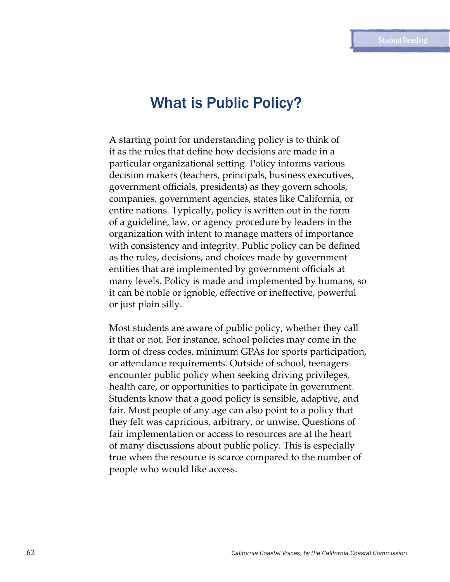# What is Public Policy?

A starting point for understanding policy is to think of it as the rules that define how decisions are made in a particular organizational setting. Policy informs various decision makers (teachers, principals, business executives, government officials, presidents) as they govern schools, companies, government agencies, states like California, or entire nations. Typically, policy is written out in the form of a guideline, law, or agency procedure by leaders in the organization with intent to manage matters of importance with consistency and integrity. Public policy can be defined as the rules, decisions, and choices made by government entities that are implemented by government officials at many levels. Policy is made and implemented by humans, so it can be noble or ignoble, effective or ineffective, powerful or just plain silly.

Most students are aware of public policy, whether they call it that or not. For instance, school policies may come in the form of dress codes, minimum GPAs for sports participation, or attendance requirements. Outside of school, teenagers encounter public policy when seeking driving privileges, health care, or opportunities to participate in government. Students know that a good policy is sensible, adaptive, and fair. Most people of any age can also point to a policy that they felt was capricious, arbitrary, or unwise. Questions of fair implementation or access to resources are at the heart of many discussions about public policy. This is especially true when the resource is scarce compared to the number of people who would like access.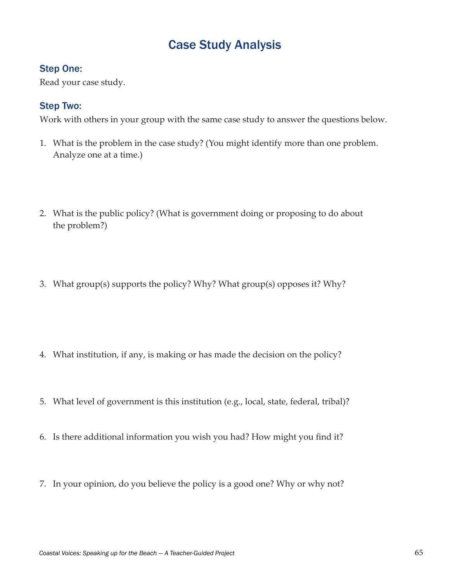# Case Study Analysis

### Step One:

Read your case study.

### Step Two:

Work with others in your group with the same case study to answer the questions below.

- 1. What is the problem in the case study? (You might identify more than one problem. Analyze one at a time.)
- 2. What is the public policy? (What is government doing or proposing to do about the problem?)
- 3. What group(s) supports the policy? Why? What group(s) opposes it? Why?

- 4. What institution, if any, is making or has made the decision on the policy?
- 5. What level of government is this institution (e.g., local, state, federal, tribal)?
- 6. Is there additional information you wish you had? How might you find it?
- 7. In your opinion, do you believe the policy is a good one? Why or why not?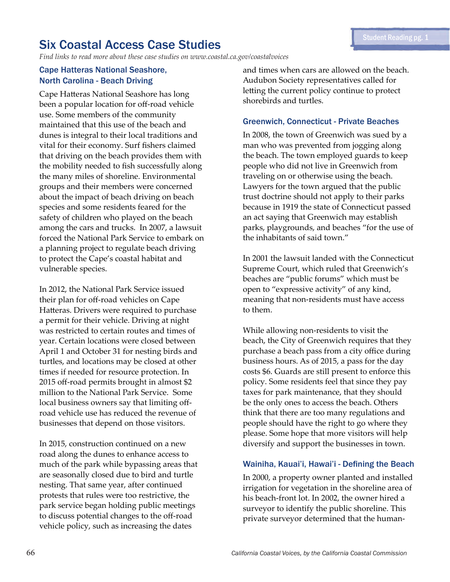# Six Coastal Access Case Studies

*Find links to read more about these case studies on www.coastal.ca.gov/coastalvoices*

#### Cape Hatteras National Seashore, North Carolina - Beach Driving

Cape Hatteras National Seashore has long been a popular location for off-road vehicle use. Some members of the community maintained that this use of the beach and dunes is integral to their local traditions and vital for their economy. Surf fishers claimed that driving on the beach provides them with the mobility needed to fish successfully along the many miles of shoreline. Environmental groups and their members were concerned about the impact of beach driving on beach species and some residents feared for the safety of children who played on the beach among the cars and trucks. In 2007, a lawsuit forced the National Park Service to embark on a planning project to regulate beach driving to protect the Cape's coastal habitat and vulnerable species.

In 2012, the National Park Service issued their plan for off-road vehicles on Cape Hatteras. Drivers were required to purchase a permit for their vehicle. Driving at night was restricted to certain routes and times of year. Certain locations were closed between April 1 and October 31 for nesting birds and turtles, and locations may be closed at other times if needed for resource protection. In 2015 off-road permits brought in almost \$2 million to the National Park Service. Some local business owners say that limiting offroad vehicle use has reduced the revenue of businesses that depend on those visitors.

In 2015, construction continued on a new road along the dunes to enhance access to much of the park while bypassing areas that are seasonally closed due to bird and turtle nesting. That same year, after continued protests that rules were too restrictive, the park service began holding public meetings to discuss potential changes to the off-road vehicle policy, such as increasing the dates

and times when cars are allowed on the beach. Audubon Society representatives called for letting the current policy continue to protect shorebirds and turtles.

#### Greenwich, Connecticut - Private Beaches

In 2008, the town of Greenwich was sued by a man who was prevented from jogging along the beach. The town employed guards to keep people who did not live in Greenwich from traveling on or otherwise using the beach. Lawyers for the town argued that the public trust doctrine should not apply to their parks because in 1919 the state of Connecticut passed an act saying that Greenwich may establish parks, playgrounds, and beaches "for the use of the inhabitants of said town."

In 2001 the lawsuit landed with the Connecticut Supreme Court, which ruled that Greenwich's beaches are "public forums" which must be open to "expressive activity" of any kind, meaning that non-residents must have access to them.

While allowing non-residents to visit the beach, the City of Greenwich requires that they purchase a beach pass from a city office during business hours. As of 2015, a pass for the day costs \$6. Guards are still present to enforce this policy. Some residents feel that since they pay taxes for park maintenance, that they should be the only ones to access the beach. Others think that there are too many regulations and people should have the right to go where they please. Some hope that more visitors will help diversify and support the businesses in town.

#### Wainiha, Kauai'i, Hawai'i - Defining the Beach

In 2000, a property owner planted and installed irrigation for vegetation in the shoreline area of his beach-front lot. In 2002, the owner hired a surveyor to identify the public shoreline. This private surveyor determined that the human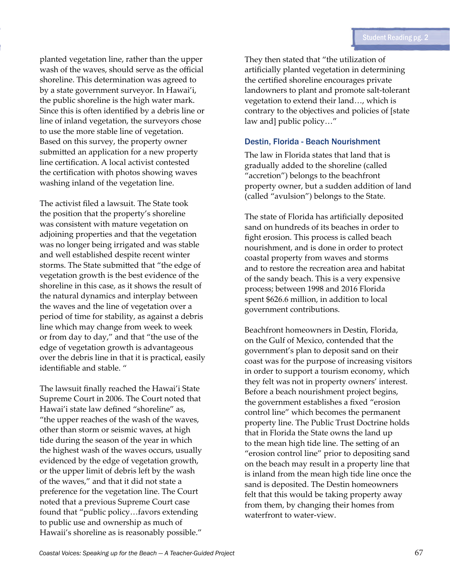planted vegetation line, rather than the upper wash of the waves, should serve as the official shoreline. This determination was agreed to by a state government surveyor. In Hawai'i, the public shoreline is the high water mark. Since this is often identified by a debris line or line of inland vegetation, the surveyors chose to use the more stable line of vegetation. Based on this survey, the property owner submitted an application for a new property line certification. A local activist contested the certification with photos showing waves washing inland of the vegetation line.

The activist filed a lawsuit. The State took the position that the property's shoreline was consistent with mature vegetation on adjoining properties and that the vegetation was no longer being irrigated and was stable and well established despite recent winter storms. The State submitted that "the edge of vegetation growth is the best evidence of the shoreline in this case, as it shows the result of the natural dynamics and interplay between the waves and the line of vegetation over a period of time for stability, as against a debris line which may change from week to week or from day to day," and that "the use of the edge of vegetation growth is advantageous over the debris line in that it is practical, easily identifiable and stable. "

The lawsuit finally reached the Hawai'i State Supreme Court in 2006. The Court noted that Hawai'i state law defined "shoreline" as, "the upper reaches of the wash of the waves, other than storm or seismic waves, at high tide during the season of the year in which the highest wash of the waves occurs, usually evidenced by the edge of vegetation growth, or the upper limit of debris left by the wash of the waves," and that it did not state a preference for the vegetation line. The Court noted that a previous Supreme Court case found that "public policy…favors extending to public use and ownership as much of Hawaii's shoreline as is reasonably possible."

They then stated that "the utilization of artificially planted vegetation in determining the certified shoreline encourages private landowners to plant and promote salt-tolerant vegetation to extend their land…, which is contrary to the objectives and policies of [state law and] public policy…"

#### Destin, Florida - Beach Nourishment

The law in Florida states that land that is gradually added to the shoreline (called "accretion") belongs to the beachfront property owner, but a sudden addition of land (called "avulsion") belongs to the State.

The state of Florida has artificially deposited sand on hundreds of its beaches in order to fight erosion. This process is called beach nourishment, and is done in order to protect coastal property from waves and storms and to restore the recreation area and habitat of the sandy beach. This is a very expensive process; between 1998 and 2016 Florida spent \$626.6 million, in addition to local government contributions.

Beachfront homeowners in Destin, Florida, on the Gulf of Mexico, contended that the government's plan to deposit sand on their coast was for the purpose of increasing visitors in order to support a tourism economy, which they felt was not in property owners' interest. Before a beach nourishment project begins, the government establishes a fixed "erosion control line" which becomes the permanent property line. The Public Trust Doctrine holds that in Florida the State owns the land up to the mean high tide line. The setting of an "erosion control line" prior to depositing sand on the beach may result in a property line that is inland from the mean high tide line once the sand is deposited. The Destin homeowners felt that this would be taking property away from them, by changing their homes from waterfront to water-view.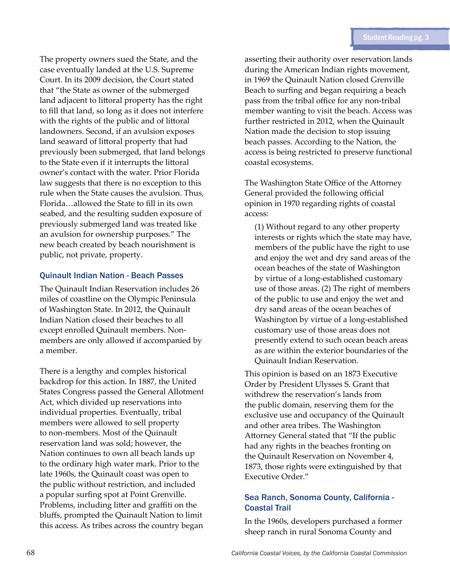The property owners sued the State, and the case eventually landed at the U.S. Supreme Court. In its 2009 decision, the Court stated that "the State as owner of the submerged land adjacent to littoral property has the right to fill that land, so long as it does not interfere with the rights of the public and of littoral landowners. Second, if an avulsion exposes land seaward of littoral property that had previously been submerged, that land belongs to the State even if it interrupts the littoral owner's contact with the water. Prior Florida law suggests that there is no exception to this rule when the State causes the avulsion. Thus, Florida…allowed the State to fill in its own seabed, and the resulting sudden exposure of previously submerged land was treated like an avulsion for ownership purposes." The new beach created by beach nourishment is public, not private, property.

#### Quinault Indian Nation - Beach Passes

The Quinault Indian Reservation includes 26 miles of coastline on the Olympic Peninsula of Washington State. In 2012, the Quinault Indian Nation closed their beaches to all except enrolled Quinault members. Nonmembers are only allowed if accompanied by a member.

There is a lengthy and complex historical backdrop for this action. In 1887, the United States Congress passed the General Allotment Act, which divided up reservations into individual properties. Eventually, tribal members were allowed to sell property to non-members. Most of the Quinault reservation land was sold; however, the Nation continues to own all beach lands up to the ordinary high water mark. Prior to the late 1960s, the Quinault coast was open to the public without restriction, and included a popular surfing spot at Point Grenville. Problems, including litter and graffiti on the bluffs, prompted the Quinault Nation to limit this access. As tribes across the country began

asserting their authority over reservation lands during the American Indian rights movement, in 1969 the Quinault Nation closed Grenville Beach to surfing and began requiring a beach pass from the tribal office for any non-tribal member wanting to visit the beach. Access was further restricted in 2012, when the Quinault Nation made the decision to stop issuing beach passes. According to the Nation, the access is being restricted to preserve functional coastal ecosystems.

The Washington State Office of the Attorney General provided the following official opinion in 1970 regarding rights of coastal access:

(1) Without regard to any other property interests or rights which the state may have, members of the public have the right to use and enjoy the wet and dry sand areas of the ocean beaches of the state of Washington by virtue of a long-established customary use of those areas. (2) The right of members of the public to use and enjoy the wet and dry sand areas of the ocean beaches of Washington by virtue of a long-established customary use of those areas does not presently extend to such ocean beach areas as are within the exterior boundaries of the Quinault Indian Reservation.

This opinion is based on an 1873 Executive Order by President Ulysses S. Grant that withdrew the reservation's lands from the public domain, reserving them for the exclusive use and occupancy of the Quinault and other area tribes. The Washington Attorney General stated that "If the public had any rights in the beaches fronting on the Quinault Reservation on November 4, 1873, those rights were extinguished by that Executive Order."

### Sea Ranch, Sonoma County, California - Coastal Trail

In the 1960s, developers purchased a former sheep ranch in rural Sonoma County and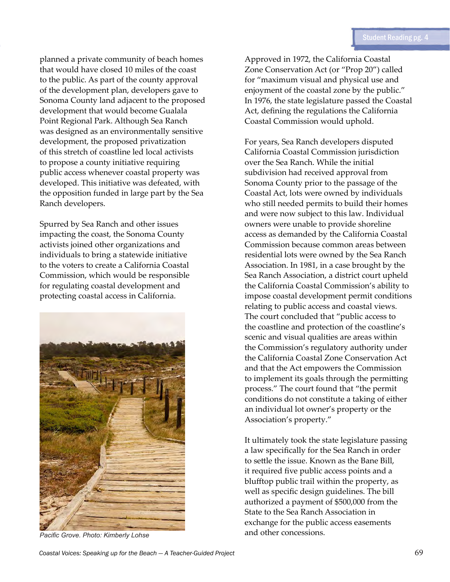planned a private community of beach homes that would have closed 10 miles of the coast to the public. As part of the county approval of the development plan, developers gave to Sonoma County land adjacent to the proposed development that would become Gualala Point Regional Park. Although Sea Ranch was designed as an environmentally sensitive development, the proposed privatization of this stretch of coastline led local activists to propose a county initiative requiring public access whenever coastal property was developed. This initiative was defeated, with the opposition funded in large part by the Sea Ranch developers.

Spurred by Sea Ranch and other issues impacting the coast, the Sonoma County activists joined other organizations and individuals to bring a statewide initiative to the voters to create a California Coastal Commission, which would be responsible for regulating coastal development and protecting coastal access in California.



Approved in 1972, the California Coastal Zone Conservation Act (or "Prop 20") called for "maximum visual and physical use and enjoyment of the coastal zone by the public." In 1976, the state legislature passed the Coastal Act, defining the regulations the California Coastal Commission would uphold.

For years, Sea Ranch developers disputed California Coastal Commission jurisdiction over the Sea Ranch. While the initial subdivision had received approval from Sonoma County prior to the passage of the Coastal Act, lots were owned by individuals who still needed permits to build their homes and were now subject to this law. Individual owners were unable to provide shoreline access as demanded by the California Coastal Commission because common areas between residential lots were owned by the Sea Ranch Association. In 1981, in a case brought by the Sea Ranch Association, a district court upheld the California Coastal Commission's ability to impose coastal development permit conditions relating to public access and coastal views. The court concluded that "public access to the coastline and protection of the coastline's scenic and visual qualities are areas within the Commission's regulatory authority under the California Coastal Zone Conservation Act and that the Act empowers the Commission to implement its goals through the permitting process." The court found that "the permit conditions do not constitute a taking of either an individual lot owner's property or the Association's property."

It ultimately took the state legislature passing a law specifically for the Sea Ranch in order to settle the issue. Known as the Bane Bill, it required five public access points and a blufftop public trail within the property, as well as specific design guidelines. The bill authorized a payment of \$500,000 from the State to the Sea Ranch Association in exchange for the public access easements *Pacific Grove. Photo: Kimberly Lohse* and other concessions.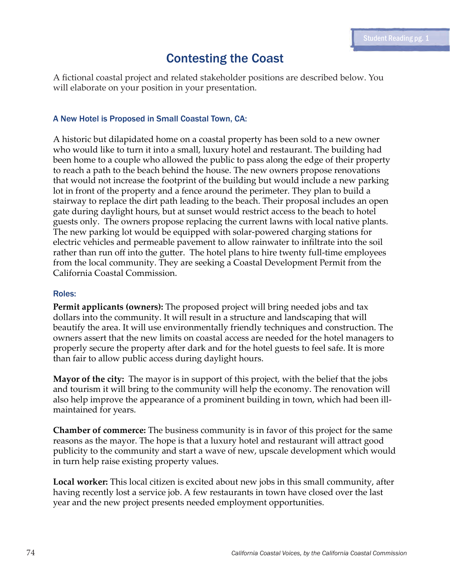## Contesting the Coast

A fictional coastal project and related stakeholder positions are described below. You will elaborate on your position in your presentation.

#### A New Hotel is Proposed in Small Coastal Town, CA:

A historic but dilapidated home on a coastal property has been sold to a new owner who would like to turn it into a small, luxury hotel and restaurant. The building had been home to a couple who allowed the public to pass along the edge of their property to reach a path to the beach behind the house. The new owners propose renovations that would not increase the footprint of the building but would include a new parking lot in front of the property and a fence around the perimeter. They plan to build a stairway to replace the dirt path leading to the beach. Their proposal includes an open gate during daylight hours, but at sunset would restrict access to the beach to hotel guests only. The owners propose replacing the current lawns with local native plants. The new parking lot would be equipped with solar-powered charging stations for electric vehicles and permeable pavement to allow rainwater to infiltrate into the soil rather than run off into the gutter. The hotel plans to hire twenty full-time employees from the local community. They are seeking a Coastal Development Permit from the California Coastal Commission.

#### Roles:

**Permit applicants (owners):** The proposed project will bring needed jobs and tax dollars into the community. It will result in a structure and landscaping that will beautify the area. It will use environmentally friendly techniques and construction. The owners assert that the new limits on coastal access are needed for the hotel managers to properly secure the property after dark and for the hotel guests to feel safe. It is more than fair to allow public access during daylight hours.

**Mayor of the city:** The mayor is in support of this project, with the belief that the jobs and tourism it will bring to the community will help the economy. The renovation will also help improve the appearance of a prominent building in town, which had been illmaintained for years.

**Chamber of commerce:** The business community is in favor of this project for the same reasons as the mayor. The hope is that a luxury hotel and restaurant will attract good publicity to the community and start a wave of new, upscale development which would in turn help raise existing property values.

**Local worker:** This local citizen is excited about new jobs in this small community, after having recently lost a service job. A few restaurants in town have closed over the last year and the new project presents needed employment opportunities.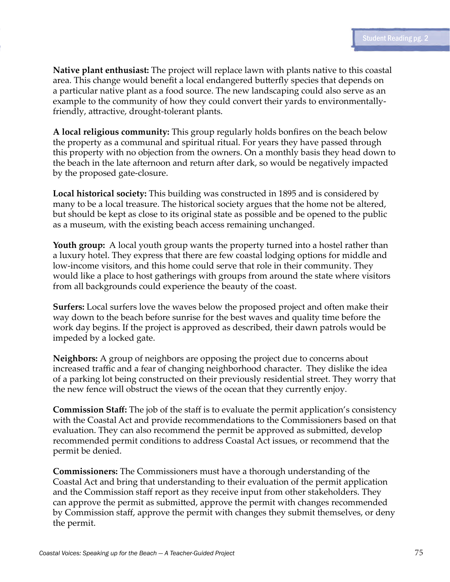**Native plant enthusiast:** The project will replace lawn with plants native to this coastal area. This change would benefit a local endangered butterfly species that depends on a particular native plant as a food source. The new landscaping could also serve as an example to the community of how they could convert their yards to environmentallyfriendly, attractive, drought-tolerant plants.

**A local religious community:** This group regularly holds bonfires on the beach below the property as a communal and spiritual ritual. For years they have passed through this property with no objection from the owners. On a monthly basis they head down to the beach in the late afternoon and return after dark, so would be negatively impacted by the proposed gate-closure.

**Local historical society:** This building was constructed in 1895 and is considered by many to be a local treasure. The historical society argues that the home not be altered, but should be kept as close to its original state as possible and be opened to the public as a museum, with the existing beach access remaining unchanged.

**Youth group:** A local youth group wants the property turned into a hostel rather than a luxury hotel. They express that there are few coastal lodging options for middle and low-income visitors, and this home could serve that role in their community. They would like a place to host gatherings with groups from around the state where visitors from all backgrounds could experience the beauty of the coast.

**Surfers:** Local surfers love the waves below the proposed project and often make their way down to the beach before sunrise for the best waves and quality time before the work day begins. If the project is approved as described, their dawn patrols would be impeded by a locked gate.

**Neighbors:** A group of neighbors are opposing the project due to concerns about increased traffic and a fear of changing neighborhood character. They dislike the idea of a parking lot being constructed on their previously residential street. They worry that the new fence will obstruct the views of the ocean that they currently enjoy.

**Commission Staff:** The job of the staff is to evaluate the permit application's consistency with the Coastal Act and provide recommendations to the Commissioners based on that evaluation. They can also recommend the permit be approved as submitted, develop recommended permit conditions to address Coastal Act issues, or recommend that the permit be denied.

**Commissioners:** The Commissioners must have a thorough understanding of the Coastal Act and bring that understanding to their evaluation of the permit application and the Commission staff report as they receive input from other stakeholders. They can approve the permit as submitted, approve the permit with changes recommended by Commission staff, approve the permit with changes they submit themselves, or deny the permit.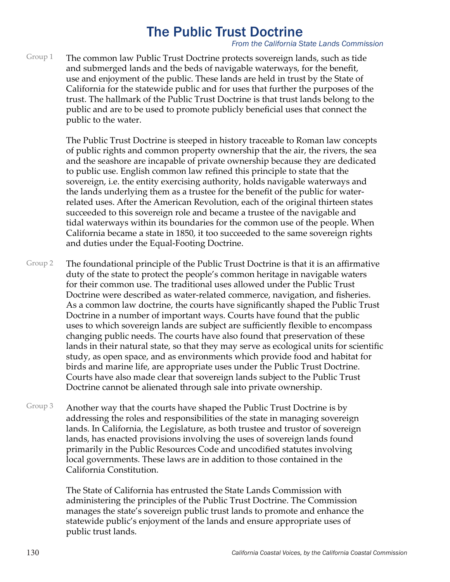# The Public Trust Doctrine

*From the California State Lands Commission*

The common law Public Trust Doctrine protects sovereign lands, such as tide and submerged lands and the beds of navigable waterways, for the benefit, use and enjoyment of the public. These lands are held in trust by the State of California for the statewide public and for uses that further the purposes of the trust. The hallmark of the Public Trust Doctrine is that trust lands belong to the public and are to be used to promote publicly beneficial uses that connect the public to the water. Group 1

> The Public Trust Doctrine is steeped in history traceable to Roman law concepts of public rights and common property ownership that the air, the rivers, the sea and the seashore are incapable of private ownership because they are dedicated to public use. English common law refined this principle to state that the sovereign, i.e. the entity exercising authority, holds navigable waterways and the lands underlying them as a trustee for the benefit of the public for waterrelated uses. After the American Revolution, each of the original thirteen states succeeded to this sovereign role and became a trustee of the navigable and tidal waterways within its boundaries for the common use of the people. When California became a state in 1850, it too succeeded to the same sovereign rights and duties under the Equal-Footing Doctrine.

- The foundational principle of the Public Trust Doctrine is that it is an affirmative duty of the state to protect the people's common heritage in navigable waters for their common use. The traditional uses allowed under the Public Trust Doctrine were described as water-related commerce, navigation, and fisheries. As a common law doctrine, the courts have significantly shaped the Public Trust Doctrine in a number of important ways. Courts have found that the public uses to which sovereign lands are subject are sufficiently flexible to encompass changing public needs. The courts have also found that preservation of these lands in their natural state, so that they may serve as ecological units for scientific study, as open space, and as environments which provide food and habitat for birds and marine life, are appropriate uses under the Public Trust Doctrine. Courts have also made clear that sovereign lands subject to the Public Trust Doctrine cannot be alienated through sale into private ownership. Group 2
- Another way that the courts have shaped the Public Trust Doctrine is by addressing the roles and responsibilities of the state in managing sovereign lands. In California, the Legislature, as both trustee and trustor of sovereign lands, has enacted provisions involving the uses of sovereign lands found primarily in the Public Resources Code and uncodified statutes involving local governments. These laws are in addition to those contained in the California Constitution. Group 3

The State of California has entrusted the State Lands Commission with administering the principles of the Public Trust Doctrine. The Commission manages the state's sovereign public trust lands to promote and enhance the statewide public's enjoyment of the lands and ensure appropriate uses of public trust lands.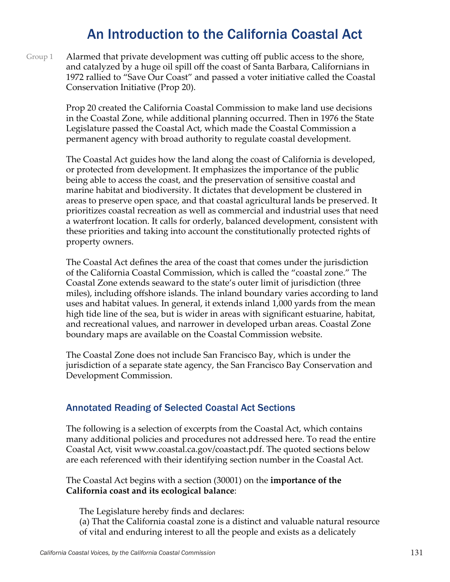# An Introduction to the California Coastal Act

Alarmed that private development was cutting off public access to the shore, and catalyzed by a huge oil spill off the coast of Santa Barbara, Californians in 1972 rallied to "Save Our Coast" and passed a voter initiative called the Coastal Conservation Initiative (Prop 20). Group 1

> Prop 20 created the California Coastal Commission to make land use decisions in the Coastal Zone, while additional planning occurred. Then in 1976 the State Legislature passed the Coastal Act, which made the Coastal Commission a permanent agency with broad authority to regulate coastal development.

The Coastal Act guides how the land along the coast of California is developed, or protected from development. It emphasizes the importance of the public being able to access the coast, and the preservation of sensitive coastal and marine habitat and biodiversity. It dictates that development be clustered in areas to preserve open space, and that coastal agricultural lands be preserved. It prioritizes coastal recreation as well as commercial and industrial uses that need a waterfront location. It calls for orderly, balanced development, consistent with these priorities and taking into account the constitutionally protected rights of property owners.

The Coastal Act defines the area of the coast that comes under the jurisdiction of the California Coastal Commission, which is called the "coastal zone." The Coastal Zone extends seaward to the state's outer limit of jurisdiction (three miles), including offshore islands. The inland boundary varies according to land uses and habitat values. In general, it extends inland 1,000 yards from the mean high tide line of the sea, but is wider in areas with significant estuarine, habitat, and recreational values, and narrower in developed urban areas. Coastal Zone boundary maps are available on the Coastal Commission website.

The Coastal Zone does not include San Francisco Bay, which is under the jurisdiction of a separate state agency, the San Francisco Bay Conservation and Development Commission.

### Annotated Reading of Selected Coastal Act Sections

The following is a selection of excerpts from the Coastal Act, which contains many additional policies and procedures not addressed here. To read the entire Coastal Act, visit www.coastal.ca.gov/coastact.pdf. The quoted sections below are each referenced with their identifying section number in the Coastal Act.

The Coastal Act begins with a section (30001) on the **importance of the California coast and its ecological balance**:

The Legislature hereby finds and declares: (a) That the California coastal zone is a distinct and valuable natural resource of vital and enduring interest to all the people and exists as a delicately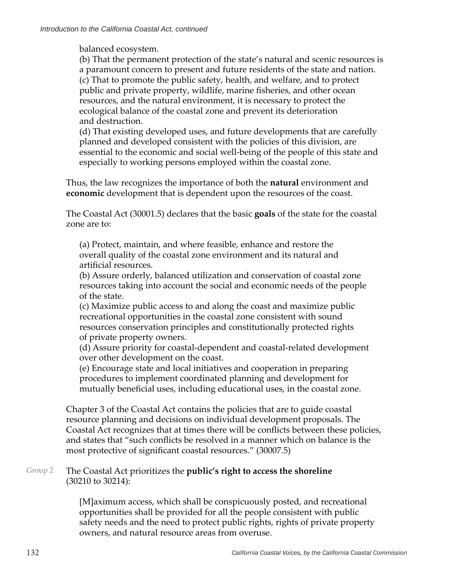balanced ecosystem.

(b) That the permanent protection of the state's natural and scenic resources is a paramount concern to present and future residents of the state and nation. (c) That to promote the public safety, health, and welfare, and to protect public and private property, wildlife, marine fisheries, and other ocean resources, and the natural environment, it is necessary to protect the ecological balance of the coastal zone and prevent its deterioration and destruction.

(d) That existing developed uses, and future developments that are carefully planned and developed consistent with the policies of this division, are essential to the economic and social well-being of the people of this state and especially to working persons employed within the coastal zone.

Thus, the law recognizes the importance of both the **natural** environment and **economic** development that is dependent upon the resources of the coast.

The Coastal Act (30001.5) declares that the basic **goals** of the state for the coastal zone are to:

(a) Protect, maintain, and where feasible, enhance and restore the overall quality of the coastal zone environment and its natural and artificial resources.

(b) Assure orderly, balanced utilization and conservation of coastal zone resources taking into account the social and economic needs of the people of the state.

(c) Maximize public access to and along the coast and maximize public recreational opportunities in the coastal zone consistent with sound resources conservation principles and constitutionally protected rights of private property owners.

(d) Assure priority for coastal-dependent and coastal-related development over other development on the coast.

(e) Encourage state and local initiatives and cooperation in preparing procedures to implement coordinated planning and development for mutually beneficial uses, including educational uses, in the coastal zone.

Chapter 3 of the Coastal Act contains the policies that are to guide coastal resource planning and decisions on individual development proposals. The Coastal Act recognizes that at times there will be conflicts between these policies, and states that "such conflicts be resolved in a manner which on balance is the most protective of significant coastal resources." (30007.5)

#### The Coastal Act prioritizes the **public's right to access the shoreline** (30210 to 30214): Group 2

[M]aximum access, which shall be conspicuously posted, and recreational opportunities shall be provided for all the people consistent with public safety needs and the need to protect public rights, rights of private property owners, and natural resource areas from overuse.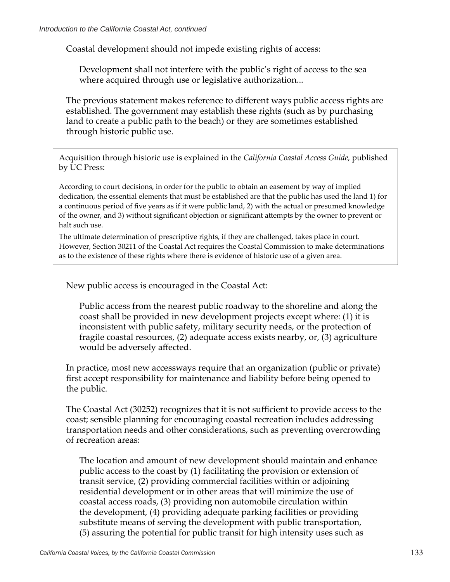Coastal development should not impede existing rights of access:

Development shall not interfere with the public's right of access to the sea where acquired through use or legislative authorization...

The previous statement makes reference to different ways public access rights are established. The government may establish these rights (such as by purchasing land to create a public path to the beach) or they are sometimes established through historic public use.

Acquisition through historic use is explained in the *California Coastal Access Guide,* published by UC Press:

According to court decisions, in order for the public to obtain an easement by way of implied dedication, the essential elements that must be established are that the public has used the land 1) for a continuous period of five years as if it were public land, 2) with the actual or presumed knowledge of the owner, and 3) without significant objection or significant attempts by the owner to prevent or halt such use.

The ultimate determination of prescriptive rights, if they are challenged, takes place in court. However, Section 30211 of the Coastal Act requires the Coastal Commission to make determinations as to the existence of these rights where there is evidence of historic use of a given area.

New public access is encouraged in the Coastal Act:

Public access from the nearest public roadway to the shoreline and along the coast shall be provided in new development projects except where: (1) it is inconsistent with public safety, military security needs, or the protection of fragile coastal resources, (2) adequate access exists nearby, or, (3) agriculture would be adversely affected.

In practice, most new accessways require that an organization (public or private) first accept responsibility for maintenance and liability before being opened to the public.

The Coastal Act (30252) recognizes that it is not sufficient to provide access to the coast; sensible planning for encouraging coastal recreation includes addressing transportation needs and other considerations, such as preventing overcrowding of recreation areas:

The location and amount of new development should maintain and enhance public access to the coast by (1) facilitating the provision or extension of transit service, (2) providing commercial facilities within or adjoining residential development or in other areas that will minimize the use of coastal access roads, (3) providing non automobile circulation within the development, (4) providing adequate parking facilities or providing substitute means of serving the development with public transportation, (5) assuring the potential for public transit for high intensity uses such as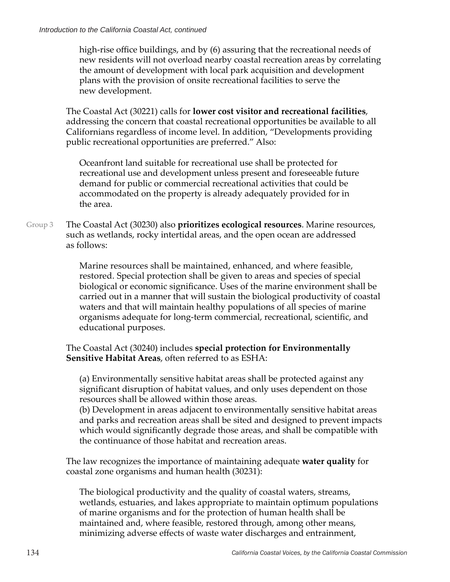high-rise office buildings, and by (6) assuring that the recreational needs of new residents will not overload nearby coastal recreation areas by correlating the amount of development with local park acquisition and development plans with the provision of onsite recreational facilities to serve the new development.

The Coastal Act (30221) calls for **lower cost visitor and recreational facilities**, addressing the concern that coastal recreational opportunities be available to all Californians regardless of income level. In addition, "Developments providing public recreational opportunities are preferred." Also:

Oceanfront land suitable for recreational use shall be protected for recreational use and development unless present and foreseeable future demand for public or commercial recreational activities that could be accommodated on the property is already adequately provided for in the area.

The Coastal Act (30230) also **prioritizes ecological resources**. Marine resources, such as wetlands, rocky intertidal areas, and the open ocean are addressed as follows: Group 3

> Marine resources shall be maintained, enhanced, and where feasible, restored. Special protection shall be given to areas and species of special biological or economic significance. Uses of the marine environment shall be carried out in a manner that will sustain the biological productivity of coastal waters and that will maintain healthy populations of all species of marine organisms adequate for long-term commercial, recreational, scientific, and educational purposes.

### The Coastal Act (30240) includes **special protection for Environmentally Sensitive Habitat Areas**, often referred to as ESHA:

(a) Environmentally sensitive habitat areas shall be protected against any significant disruption of habitat values, and only uses dependent on those resources shall be allowed within those areas.

(b) Development in areas adjacent to environmentally sensitive habitat areas and parks and recreation areas shall be sited and designed to prevent impacts which would significantly degrade those areas, and shall be compatible with the continuance of those habitat and recreation areas.

The law recognizes the importance of maintaining adequate **water quality** for coastal zone organisms and human health (30231):

The biological productivity and the quality of coastal waters, streams, wetlands, estuaries, and lakes appropriate to maintain optimum populations of marine organisms and for the protection of human health shall be maintained and, where feasible, restored through, among other means, minimizing adverse effects of waste water discharges and entrainment,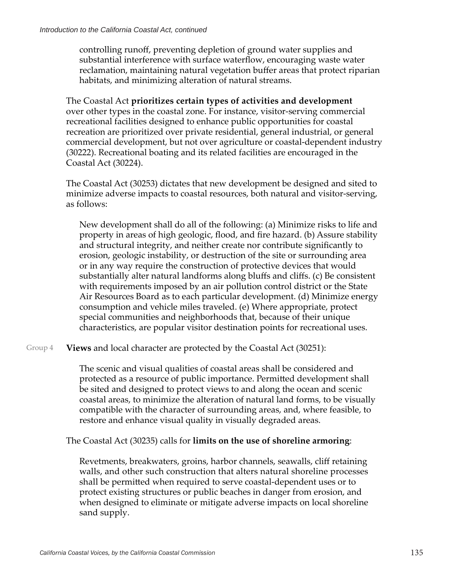controlling runoff, preventing depletion of ground water supplies and substantial interference with surface waterflow, encouraging waste water reclamation, maintaining natural vegetation buffer areas that protect riparian habitats, and minimizing alteration of natural streams.

The Coastal Act **prioritizes certain types of activities and development** over other types in the coastal zone. For instance, visitor-serving commercial recreational facilities designed to enhance public opportunities for coastal recreation are prioritized over private residential, general industrial, or general commercial development, but not over agriculture or coastal-dependent industry (30222). Recreational boating and its related facilities are encouraged in the Coastal Act (30224).

The Coastal Act (30253) dictates that new development be designed and sited to minimize adverse impacts to coastal resources, both natural and visitor-serving, as follows:

New development shall do all of the following: (a) Minimize risks to life and property in areas of high geologic, flood, and fire hazard. (b) Assure stability and structural integrity, and neither create nor contribute significantly to erosion, geologic instability, or destruction of the site or surrounding area or in any way require the construction of protective devices that would substantially alter natural landforms along bluffs and cliffs. (c) Be consistent with requirements imposed by an air pollution control district or the State Air Resources Board as to each particular development. (d) Minimize energy consumption and vehicle miles traveled. (e) Where appropriate, protect special communities and neighborhoods that, because of their unique characteristics, are popular visitor destination points for recreational uses.

**Views** and local character are protected by the Coastal Act (30251): Group 4

> The scenic and visual qualities of coastal areas shall be considered and protected as a resource of public importance. Permitted development shall be sited and designed to protect views to and along the ocean and scenic coastal areas, to minimize the alteration of natural land forms, to be visually compatible with the character of surrounding areas, and, where feasible, to restore and enhance visual quality in visually degraded areas.

The Coastal Act (30235) calls for **limits on the use of shoreline armoring**:

Revetments, breakwaters, groins, harbor channels, seawalls, cliff retaining walls, and other such construction that alters natural shoreline processes shall be permitted when required to serve coastal-dependent uses or to protect existing structures or public beaches in danger from erosion, and when designed to eliminate or mitigate adverse impacts on local shoreline sand supply.